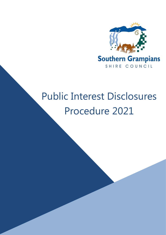

# Public Interest Disclosures Procedure 2021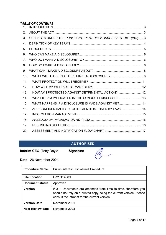# *TABLE OF CONTENTS*

| $\mathbf{1}$ . |                                                                 |  |
|----------------|-----------------------------------------------------------------|--|
| 2.             |                                                                 |  |
| 3.             | OFFENCES UNDER THE PUBLIC INTEREST DISCLOSURES ACT 2012 (VIC) 3 |  |
| 4.             |                                                                 |  |
| 5.             |                                                                 |  |
| 6.             |                                                                 |  |
| 7.             |                                                                 |  |
| 8.             |                                                                 |  |
| 9.             |                                                                 |  |
| 10.            |                                                                 |  |
| 11.            |                                                                 |  |
| 12.            |                                                                 |  |
| 13.            | HOW AM I PROTECTED AGAINST DETRIMENTAL ACTION? 12               |  |
| 14.            | WHAT IF I AM IMPLICATED IN THE CONDUCT I DISCLOSE?  13          |  |
| 15.            | WHAT HAPPENS IF A DISCLOSURE IS MADE AGAINST ME? 14             |  |
| 16.            | ARE CONFIDENTIALITY REQUIREMENTS IMPOSED BY LAW?  14            |  |
| 17.            |                                                                 |  |
| 18.            |                                                                 |  |
| 19.            |                                                                 |  |
| 20.            |                                                                 |  |

# **AUTHORISED**

**Interim CEO**: Tony Doyle **Signature**



**Date** 26 November 2021

| <b>Procedure Name</b>   | <b>Public Interest Disclosures Procedure</b>                                                                                                                                            |
|-------------------------|-----------------------------------------------------------------------------------------------------------------------------------------------------------------------------------------|
| <b>File Location</b>    | D/21/114389                                                                                                                                                                             |
| <b>Document status</b>  | Approved                                                                                                                                                                                |
| <b>Version</b>          | $\#$ 3 – Documents are amended from time to time, therefore you<br>should not rely on a printed copy being the current version. Please<br>consult the intranet for the current version. |
| <b>Version Date</b>     | November 2021                                                                                                                                                                           |
| <b>Next Review date</b> | November 2023                                                                                                                                                                           |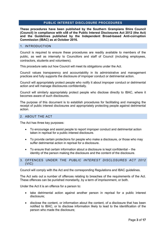# **PUBLIC INTEREST DISCLOSURE PROCEDURES**

**These procedures have been published by the Southern Grampians Shire Council (Council) in compliance with s58 of the Public Interest Disclosures Act 2012 (the Act) and the Guidelines published by the Independent Broad-based Anti-corruption Commission (IBAC) as at October 2016.**

#### <span id="page-2-0"></span>1. INTRODUCTION

Council is required to ensure these procedures are readily available to members of the public, as well as internally to Councillors and staff of Council (including employees, contractors, students and volunteers).

This procedure sets out how Council will meet its obligations under the Act.

Council values transparency and accountability in its administrative and management practices and fully supports the disclosure of improper conduct or detrimental action.

Council will appropriately protect people who notify it about improper conduct or detrimental action and will manage disclosures confidentially.

Council will similarly appropriately protect people who disclose directly to IBAC, where it becomes aware of such disclosures.

The purpose of this document is to establish procedures for facilitating and managing the receipt of public interest disclosures and appropriately protecting people against detrimental action.

# <span id="page-2-1"></span>2. ABOUT THE ACT

The Act has three key purposes:

- To encourage and assist people to report improper conduct and detrimental action taken in reprisal for a public interest disclosure.
- To provide certain protections for people who make a disclosure, or those who may suffer detrimental action in reprisal for a disclosure.
- To ensure that certain information about a disclosure is kept confidential the identity of the person making the disclosure and the content of the disclosure.

#### <span id="page-2-2"></span>3. OFFENCES UNDER THE *PUBLIC INTEREST DISCLOSURES ACT 2012* (VIC)

Council will comply with the Act and the corresponding Regulations and IBAC guidelines.

The Act sets out a number of offences relating to breaches of the requirements of the Act. These offences can be punished monetarily, by a term of imprisonment, or both.

Under the Act it is an offence for a person to:

- take detrimental action against another person in reprisal for a public interest disclosure;
- disclose the content, or information about the content, of a disclosure that has been notified to IBAC, or to disclose information likely to lead to the identification of the person who made the disclosure;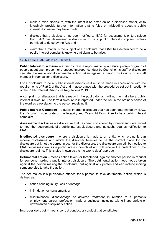- make a false disclosure, with the intent it be acted on as a disclosed matter, or to knowingly provide further information that is false or misleading about a public interest disclosure they have made;
- disclose that a disclosure has been notified to IBAC for assessment, or to disclose that IBAC has determined a disclosure to be a public interest complaint, unless permitted to do so by the Act; and
- claim that a matter is the subject of a disclosure that IBAC has determined to be a public interest complaint, knowing that claim to be false.

# <span id="page-3-0"></span>4. DEFINITION OF KEY TERMS

**Public Interest Disclosure** – a disclosure is a report made by a natural person or group of people about past, present or proposed improper conduct by Council or its staff. A disclosure can also be made about detrimental action taken against a person by Council or a staff member in reprisal for a disclosure.

For a disclosure to be a public interest disclosure it must be made in accordance with the requirements of Part 2 of the Act and in accordance with the procedures set out in section 9 of the Public Interest Disclosure Regulations 2013.

A complaint or allegation that is already in the public domain will not normally be a public interest disclosure. The term disclosure is interpreted under the Act in the ordinary sense of the word as a revelation to the person receiving it.

**Public Interest Complaint** – a public interest disclosure that has been determined by IBAC, the Victorian Inspectorate or the Integrity and Oversight Committee to be a public interest complaint.

**Assessable disclosure** – a disclosure that has been considered by Council and determined to meet the requirements of a public interest disclosure and, as such, requires notification to IBAC.

**Misdirected disclosure** – where a disclosure is made to an entity which ordinarily can receive disclosures and which the discloser believes to be the correct place for the disclosure but it not the correct place for the disclosure, the disclosure can still be notified to IBAC for assessment as a public interest complaint and will receive the protections of the disclosure regime. This is also known as the 'no wrong door' approach.

**Detrimental action** – means action taken, or threatened, against another person in reprisal for someone making a public interest disclosure. The detrimental action need not be taken against the person making the disclosure, but against any person and can include inciting someone else to take the action.

The Act makes it a punishable offence for a person to take detrimental action, which is defined as:

- action causing injury, loss or damage;
- intimidation or harassment; or
- discrimination, disadvantage or adverse treatment in relation to a person's employment, career, profession, trade or business, including taking inappropriate or unwarranted disciplinary action.

**Improper conduct** – means corrupt conduct or conduct that constitutes: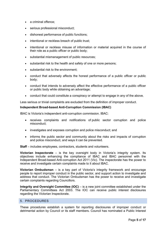- a criminal offence:
- serious professional misconduct;
- dishonest performance of public functions;
- intentional or reckless breach of public trust:
- intentional or reckless misuse of information or material acquired in the course of their role as a public officer or public body;
- substantial mismanagement of public resources;
- substantial risk to the health and safety of one or more persons;
- substantial risk to the environment:
- conduct that adversely affects the honest performance of a public officer or public body;
- conduct that intends to adversely affect the effective performance of a public officer or public body while obtaining an advantage;
- conduct that could constitute a conspiracy or attempt to engage in any of the above.

Less serious or trivial complaints are excluded from the definition of improper conduct.

#### **Independent Broad-based Anti-Corruption Commission (IBAC)**

IBAC is Victoria's independent anti-corruption commission. IBAC:

- receives complaints and notifications of [public sector corruption](http://www.ibac.vic.gov.au/reporting-corruption/what-can-you-complain-about/what-is-corruption) and [police](http://www.ibac.vic.gov.au/reporting-corruption/what-can-you-complain-about/what-is-police-misconduct)  [misconduct;](http://www.ibac.vic.gov.au/reporting-corruption/what-can-you-complain-about/what-is-police-misconduct)
- [investigates a](http://www.ibac.vic.gov.au/investigating-corruption)nd exposes corruption and police misconduct; and
- informs the public sector and community about the [risks and impacts of corruption](http://www.ibac.vic.gov.au/preventing-corruption)  [and police misconduct,](http://www.ibac.vic.gov.au/preventing-corruption) and ways it can be prevented.

**Staff** – includes employees, contractors, students and volunteers.

**Victorian Inspectorate** – is the key oversight body in Victoria's integrity system. Its objectives include enhancing the compliance of IBAC and IBAC personnel with the Independent Broad-based Anti-corruption Act 2011 (Vic). The inspectorate has the power to receive and investigate certain complaints made to it about IBAC.

**Victorian Ombudsman** *–* is a key part of Victoria's integrity framework and encourage people to report improper conduct in the public sector, and support action to investigate and address that conduct. The Victorian Ombudsman has the power to receive and investigate certain complaints regarding Councillors.

**Integrity and Oversight Committee (IOC)** – is a new joint committee established under the Parliamentary Committees Act 2003. The IOC can receive public interest disclosures regarding the Victorian Inspectorate.

# <span id="page-4-0"></span>5. PROCEDURES

These procedures establish a system for reporting disclosures of improper conduct or detrimental action by Council or its staff members. Council has nominated a Public Interest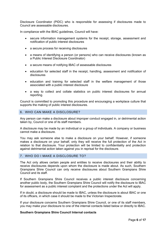Disclosure Coordinator (PIDC) who is responsible for assessing if disclosures made to Council are assessable disclosures.

In compliance with the IBAC guidelines, Council will have:

- secure information management systems for the receipt, storage, assessment and notification of public interest disclosures
- a secure process for receiving disclosures
- a means of identifying a person (or persons) who can receive disclosures (known as a Public Interest Disclosure Coordinator)
- a secure means of notifying IBAC of assessable disclosures
- education for selected staff in the receipt, handling, assessment and notification of disclosures
- education and training for selected staff in the welfare management of those associated with a public interest disclosure
- a way to collect and collate statistics on public interest disclosures for annual reporting.

Council is committed to promoting this procedure and encouraging a workplace culture that supports the making of public interest disclosures.

#### <span id="page-5-0"></span>6. WHO CAN MAKE A DISCLOSURE?

Any person can make a disclosure about improper conduct engaged in, or detrimental action taken by, Council or one of its staff members.

A disclosure may be made by an individual or a group of individuals. A company or business cannot make a disclosure.

You may ask someone else to make a disclosure on your behalf. However, if someone makes a disclosure on your behalf, only they will receive the full protection of the Act in relation to that disclosure. Your protection will be limited to confidentiality and protection against detrimental action taken against you in reprisal for the disclosure.

# <span id="page-5-1"></span>7. WHO DO I MAKE A DISCLOSURE TO?

The Act only allows certain people and entities to receive disclosures and their ability to receive disclosures depends upon whom the disclosure is made about. As such, Southern Grampians Shire Council can only receive disclosures about Southern Grampians Shire Council and its staff.

If Southern Grampians Shire Council receives a public interest disclosure concerning another public body, the Southern Grampians Shire Council will notify the disclosure to IBAC for assessment as a public interest complaint and the protections under the Act will apply.

If in doubt, a disclosure should be made to IBAC, unless the disclosure is about IBAC or one of its officers, in which case it should be made to the Victorian Inspectorate.

If your disclosure concerns Southern Grampians Shire Council, or one of its staff members, you may make your disclosure to one of the internal contacts listed below or directly to IBAC.

#### **Southern Grampians Shire Council Internal contacts**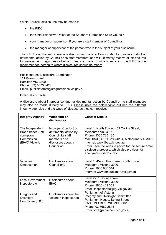Within Council, disclosures may be made to:

- the PIDC
- the Chief Executive Officer of the Southern Grampians Shire Council;
- your manager or supervisor, if you are a staff member of Council; or
- the manager or supervisor of the person who is the subject of your disclosure.

The PIDC is authorised to manage disclosures made to Council about improper conduct or detrimental action by Council or its staff members, and will ultimately receive all disclosures for assessment, regardless of whom they are made to initially. As such, the PIDC is the recommended person to whom disclosures should be made:

Public Interest Disclosure Coordinator 111 Brown Street Hamilton VIC 3300 Phone: (03) 5573 0425 Email: publicinterest@sthgrampians.vic.gov.au

#### **External contacts**

A disclosure about improper conduct or detrimental action by Council or its staff members may also be made directly to IBAC. Please note the below table outlines the different integrity agencies and the types of disclosures they can receive:

| <b>Integrity Agency</b>                                                                    | What kind of<br>disclosure?                                                                                            | <b>Contact Details</b>                                                                                                                                                                                                                                                                                |
|--------------------------------------------------------------------------------------------|------------------------------------------------------------------------------------------------------------------------|-------------------------------------------------------------------------------------------------------------------------------------------------------------------------------------------------------------------------------------------------------------------------------------------------------|
| The Independent<br><b>Broad-based Anti-</b><br>corruption<br>Commission<br>(IBAC) Victoria | Improper Conduct or<br>detrimental action by<br>Council, its staff<br>members or a<br>disclosure about a<br>Councillor | Level 1, North Tower, 459 Collins Street,<br>Melbourne VIC 3001<br>Phone: 1300 735 135<br>Mail: IBAC, GPO Box 24234, Melbourne VIC 3000<br>Internet: www.ibac.vic.gov.au<br>Email: see the website above for the secure email<br>disclosure process, which also provides for<br>anonymous disclosures |
| Victorian<br>Ombudsman                                                                     | Disclosures about<br>Councillor(s)                                                                                     | Level 1, 459 Collins Street (North Tower)<br>Melbourne Victoria 3000<br>Phone: 1800 806 314<br>Internet: www.ombudsman.vic.gov.au                                                                                                                                                                     |
| <b>Local Government</b><br>Inspectorate                                                    | Disclosures about<br>IBAC.                                                                                             | Level 27, 1 Spring Street<br>Melbourne Victoria 3000<br>Phone: 1800 469 359<br>Email: inspectorate@lgi.vic.gov.au                                                                                                                                                                                     |
| Integrity and<br>Oversight<br>Committee (IOC)                                              | Disclosures about the<br>Victorian Inspectorate                                                                        | <b>Parliament of Victoria</b><br>Integrity and Oversight Committee<br>Parliament House, Spring Street<br><b>EAST MELBOURNE VIC 3002</b><br>Phone: 03 8682 2815<br>Email: ioc@parliament.vic.gov.au                                                                                                    |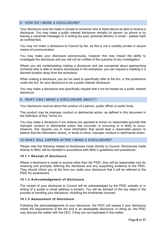# <span id="page-7-0"></span>8. HOW DO I MAKE A DISCLOSURE?

Your disclosure must be made in private to someone who is listed above as able to receive a disclosure. You may make a public interest disclosure verbally (in person, by phone or by leaving a voicemail message) or in writing (by post, personal delivery or email – please mark as confidential).

You may not make a disclosure to Council by fax, as this is not a suitably private or secure means of communication.

You may make your disclosure anonymously, however this may impact the ability to investigate the disclosure and you will not be notified of the outcome of any investigation.

Where you are contemplating making a disclosure and are concerned about approaching someone who is able to receive disclosures in the workplace, you can request a meeting in a discreet location away from the workplace.

When making a disclosure, you do not need to specifically refer to the Act, or the protections under the Act, for your disclosure to be a public interest disclosure.

You may make a disclosure and specifically request that it not be treated as a public interest disclosure.

#### <span id="page-7-1"></span>9. WHAT CAN I MAKE A DISCLOSURE ABOUT?

Your disclosure must be about the conduct of a person, public officer or public body.

The conduct may be improper conduct or detrimental action, as defined in this document in the Definition of Key Terms (4).

You may make a disclosure if you believe (as opposed to know) on reasonable grounds that improper conduct or detrimental action has occurred, is occurring or is likely to occur. However, this requires you to have information that would lead a reasonable person to believe that the information shows, or tends to show, improper conduct or detrimental action.

#### <span id="page-7-2"></span>10.WHAT WILL HAPPEN AFTER I MAKE A DISCLOSURE?

Please note the following relates to disclosures made directly to Council. Disclosures made directly to IBAC will be handled in accordance with IBAC's guidelines and procedures.

#### **10.1.1 Receipt of disclosure**

Where a disclosure is made to anyone other than the PIDC, they will be responsible only for receiving and promptly referring the disclosure and any supporting evidence to the PIDC. They should inform you at the time you make your disclosure that it will be referred to the PIDC for assessment.

# **10.1.2 Acknowledgement of disclosure**

The receipt of your disclosure to Council will be acknowledged by the PIDC verbally or in writing (if a postal or email address is known). You will be advised of the key steps in the process of handling your disclosure, including the timeframes involved.

#### **10.1.3 Assessment of disclosure**

Following the acknowledgement of your disclosure, the PIDC will assess if your disclosure meets the requirements of the Act and is an assessable disclosure. In doing so, the PIDC may discuss the matter with the CEO, if they are not implicated in the matter.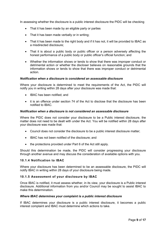In assessing whether the disclosure is a public interest disclosure the PIDC will be checking

- That it has been made by an eligible party or parties
- That it has been made verbally or in writing;
- That it has been made to the right body and if it has not, it will be provided to IBAC as a misdirected disclosure;
- That it is about a public body or public officer or a person adversely affecting the honest performance of a public body or public officer's official function; and
- Whether the information shows or tends to show that there was improper conduct or detrimental action or whether the discloser believes on reasonable grounds that the information shows or tends to show that there was improper conduct or detrimental action.

#### *Notification when a disclosure is considered an assessable disclosure*

Where your disclosure is determined to meet the requirements of the Act, the PIDC will notify you in writing within 28 days after your disclosure was made that:

- IBAC has been notified; and
- it is an offence under section 74 of the Act to disclose that the disclosure has been notified to IBAC.

#### *Notification when a disclosure is not considered an assessable disclosure*

Where the PIDC does not consider your disclosure to be a Public interest disclosure, the matter does not need to be dealt with under the Act. You will be notified within 28 days after your disclosure was made that:

- Council does not consider the disclosure to be a public interest disclosure matter;
- IBAC has not been notified of the disclosure; and
- the protections provided under Part 6 of the Act still apply.

Should this determination be made, the PIDC will consider progressing your disclosure through another avenue and may discuss the consideration of available options with you.

#### **10.1.4 Notification to IBAC**

Where your disclosure has been determined to be an assessable disclosure, the PIDC will notify IBAC in writing within 28 days of your disclosure being made.

#### **10.1.5 Assessment of your disclosure by IBAC**

Once IBAC is notified, it must assess whether, in its view, your disclosure is a Public interest disclosure. Additional information from you and/or Council may be sought to assist IBAC to make this determination.

#### *Where IBAC determines your complaint is a public interest disclosure*

If IBAC determines your disclosure is a public interest disclosure, it becomes a public interest complaint and IBAC must determine which actions to take.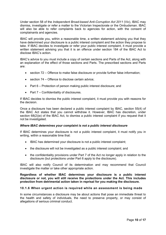Under section 58 of the *Independent Broad-based Anti-Corruption Act 2011* (Vic), IBAC may dismiss, investigate or refer a matter to the Victorian Inspectorate or the Ombudsman. IBAC will also be able to refer complaints back to agencies for action, with the consent of complainants and agencies.

IBAC will provide you, within a reasonable time, a written statement advising you that they have determined your disclosure is a public interest complaint and the action they propose to take. If IBAC decides to investigate or refer your public interest complaint, it must provide a written statement advising you that it is an offence under section 184 of the IBAC Act to disclose IBAC's action.

IBAC's advice to you must include a copy of certain sections and Parts of the Act, along with an explanation of the effect of those sections and Parts. The prescribed sections and Parts are:

- section 72 Offence to make false disclosure or provide further false information:
- section 74 Offence to disclose certain advice:
- Part 6 Protection of person making public interest disclosure; and
- Part 7 Confidentiality of disclosures.

If IBAC decides to dismiss the public interest complaint, it must provide you with reasons for the decision.

Once a disclosure has been declared a public interest complaint by IBAC, section 55(4) of the IBAC Act states that you cannot withdraw it. However, IBAC has discretion, under section 68(2)(e) of the IBAC Act, to dismiss a public interest complaint if you request that it not be investigated.

# *Where IBAC determines your complaint is not a public interest disclosure*

If IBAC determines your disclosure is not a public interest complaint, it must notify you in writing, within a reasonable time that:

- IBAC has determined your disclosure is not a public interest complaint;
- the disclosure will not be investigated as a public interest complaint; and
- the confidentiality provisions under Part 7 of the Act no longer apply in relation to the disclosure (but protections under Part 6 apply to the disclosure).

IBAC will also notify Council of its determination and may recommend that Council investigate the matter or take other appropriate action.

# **Regardless of whether IBAC determines your disclosure is a public interest disclosure or not, you will still receive the protections under the Act. This includes protection from detrimental action taken in reprisal for you making the disclosure.**

# **10.1.6 When urgent action is required while an assessment is being made**

In some circumstances a disclosure may be about actions that pose an immediate threat to the health and safety of individuals, the need to preserve property, or may consist of allegations of serious criminal conduct.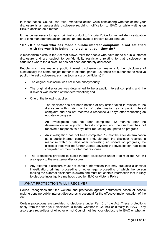In these cases, Council can take immediate action while considering whether or not your disclosure is an assessable disclosure requiring notification to IBAC or while waiting on IBAC's decision on a matter.

It may be necessary to report criminal conduct to Victoria Police for immediate investigation or to take management action against an employee to prevent future conduct.

# **10.1.7 If a person who has made a public interest complaint is not satisfied with the way it is being handled, what can they do?**

A mechanism exists in the Act that allows relief for people who have made a public interest disclosure and are subject to confidentiality restrictions relating to that disclosure, in situations where the disclosure has not been adequately addressed.

People who have made a public interest disclosure can make a further disclosure of substantially the same subject matter to external parties (i.e. those not authorised to receive public interest disclosures, such as journalists or politicians) if:

- The original disclosure was not made anonymously
- The original disclosure was determined to be a public interest complaint and the discloser was notified of that determination; and
- One of the following applies:
	- The discloser has not been notified of any action taken in relation to the disclosure within six months of determination as a public interest complaint and has not received a response 30 days after requesting an update on progress
	- An investigation has not been completed 12 months after the determination as a public interest complaint and the discloser has not received a response 30 days after requesting an update on progress
	- An investigation has not been completed 12 months after determination as a public interest complaint and, although the discloser received a response within 30 days after requesting an update on progress, the discloser received no further update advising the investigation had been completed six months after that response.
- The protections provided to public interest disclosures under Part 6 of the Act will also apply to these external disclosures.
- Any external disclosure must not contain information that may prejudice a criminal investigation, criminal proceeding or other legal proceeding of which the person making the external disclosure is aware and must not contain information that is likely to disclose investigative methods used by IBAC or Victoria Police.

# <span id="page-10-0"></span>11.WHAT PROTECTION WILL I RECEIVE?

Council recognises that the welfare and protection against detrimental action of people making genuine public interest disclosures is essential for the effective implementation of the Act.

Certain protections are provided to disclosers under Part 6 of the Act. These protections apply from the time your disclosure is made, whether to Council or directly to IBAC. They also apply regardless of whether or not Council notifies your disclosure to IBAC or whether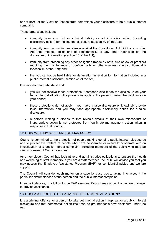or not IBAC or the Victorian Inspectorate determines your disclosure to be a public interest complaint.

These protections include:

- immunity from any civil or criminal liability or administrative action (including disciplinary action) for making the disclosure (section 39 of the Act);
- immunity from committing an offence against the Constitution Act 1975 or any other Act that imposes obligations of confidentiality or any other restriction on the disclosure of information (section 40 of the Act);
- immunity from breaching any other obligation (made by oath, rule of law or practice) requiring the maintenance of confidentiality or otherwise restricting confidentiality (section 40 of the Act); and
- that you cannot be held liable for defamation in relation to information included in a public interest disclosure (section 41 of the Act).

It is important to understand that:

- you will not receive these protections if someone else made the disclosure on your behalf. In that situation, the protections apply to the person making the disclosure on your behalf;
- these protections do not apply if you make a false disclosure or knowingly provide false information and you may face appropriate disciplinary action for a false disclosure;
- a person making a disclosure that reveals details of their own misconduct or inappropriate action is not protected from legitimate management action taken in response to that conduct.

# <span id="page-11-0"></span>12.HOW WILL MY WELFARE BE MANAGED?

Council is committed to the protection of people making genuine public interest disclosures and to protect the welfare of people who have cooperated or intend to cooperate with an investigation of a public interest complaint, including members of the public who may be clients or users of Council services.

As an employer, Council has legislative and administrative obligations to ensure the health and wellbeing of staff members. If you are a staff member, the PIDC will advise you that you may access the Employee Assistance Program (EAP) for confidential advice and welfare support.

The Council will consider each matter on a case by case basis, taking into account the particular circumstances of the person and the public interest complaint.

In some instances, in addition to the EAP services, Council may appoint a welfare manager to provide assistance.

# <span id="page-11-1"></span>13.HOW AM I PROTECTED AGAINST DETRIMENTAL ACTION?

It is a criminal offence for a person to take detrimental action in reprisal for a public interest disclosure and that detrimental action itself can be grounds for a new disclosure under the Act.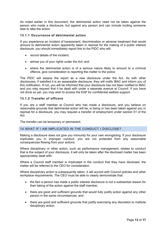As noted earlier in this document, the detrimental action need not be taken against the person who made a disclosure, but against any person and can include inciting someone else to take the action.

# **13.1.1 Occurrence of detrimental action**

If you experience an incident of harassment, discrimination or adverse treatment that would amount to detrimental action apparently taken in reprisal for the making of a public interest disclosure, you should immediately report this to the PIDC who will:

- record details of the incident;
- advise you of your rights under the Act; and
- where the detrimental action is of a serious nature likely to amount to a criminal offence, give consideration to reporting the matter to the police.

The PIDC will assess the report as a new disclosure under the Act. As with other disclosures, if satisfied it is an assessable disclosure, they will notify IBAC and inform you of this notification. If not, you will be informed that your disclosure has not been notified to IBAC and you may request that it be dealt with under a separate avenue at Council. If you have not done so yet, you may wish to access the EAP for confidential welfare support.

# **13.1.2 Transfer of officers**

If you are a staff member at Council who has made a disclosure, and you believe on reasonable grounds that detrimental action will be, is being or has been taken against you in reprisal for a disclosure, you may request a transfer of employment under section 51 of the Act.

The transfer can be temporary or permanent.

# <span id="page-12-0"></span>14.WHAT IF I AM IMPLICATED IN THE CONDUCT I DISCLOSE?

Making a disclosure does not give you immunity for your own wrongdoing. If your disclosure implicates you in improper conduct, you are not protected from any reasonable consequences flowing from your actions.

Where disciplinary or other action, such as performance management, relates to conduct that is the subject of your disclosure, it will only be taken after the disclosed matter has been appropriately dealt with.

Where a Council staff member is implicated in the conduct that they have disclosed, the matter will be referred to the CEO for consideration.

Where disciplinary action is subsequently taken, it will accord with Council policies and other workplace requirements. The CEO must be able to clearly demonstrate that:

- the fact a person has made a public interest disclosure is not a substantial reason for their taking of the action against the staff member;
- there are good and sufficient grounds that would fully justify action against any other person in the same circumstances; and
- there are good and sufficient grounds that justify exercising any discretion to institute disciplinary action.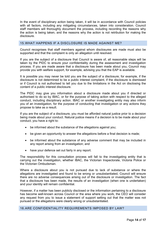In the event of disciplinary action being taken, it will be in accordance with Council policies with all factors, including any mitigating circumstances, taken into consideration. Council staff members will thoroughly document the process, including recording the reasons why the action is being taken, and the reasons why the action is not retribution for making the disclosure.

### <span id="page-13-0"></span>15.WHAT HAPPENS IF A DISCLOSURE IS MADE AGAINST ME?

Council recognises that staff members against whom disclosures are made must also be supported and that the complaint is only an allegation until resolved.

If you are the subject of a disclosure that Council is aware of, all reasonable steps will be taken by the PIDC to ensure your confidentiality during the assessment and investigation process. If you are made aware that a disclosure has been made about you, Council may provide you with welfare support, for example, advising you that the EAP is available.

It is possible you may never be told you are the subject of a disclosure; for example, if the disclosure is not determined to be a public interest complaint, if the disclosure is dismissed or if Council is not authorised to tell you due to the limitations in the Act on disclosing the content of a public interest disclosure.

The PIDC may give you information about a disclosure made about you if directed or authorised to do so by IBAC, or for the purpose of taking action with respect to the alleged conduct, including disciplinary action. IBAC or another investigating entity may also inform you of an investigation, for the purpose of conducting that investigation or any actions they propose to take as a result.

If you are the subject of a disclosure, you must be afforded natural justice prior to a decision being made about your conduct. Natural justice means if a decision is to be made about your conduct, you have a right to:

- be informed about the substance of the allegations against you;
- be given an opportunity to answer the allegations before a final decision is made;
- be informed about the substance of any adverse comment that may be included in any report arising from an investigation; and
- have your defence set out fairly in any report.

The responsibility for this consultation process will fall to the investigating entity that is carrying out the investigation, whether IBAC, the Victorian Inspectorate, Victoria Police or the Victorian Ombudsman.

Where a disclosure about you is not pursued due to lack of substance or where the allegations are investigated and found to be wrong or unsubstantiated, Council will ensure there are no adverse consequences arising out of the disclosure or investigation. The fact that a disclosure has been made, the results of an investigation (when one is undertaken) and your identity will remain confidential.

However, if a matter has been publicly disclosed or the information pertaining to a disclosure has become well-known across Council or the area where you work, the CEO will consider any request from you to issue a statement of support setting out that the matter was not pursued or the allegations were clearly wrong or unsubstantiated.

#### <span id="page-13-1"></span>16.ARE CONFIDENTIALITY REQUIREMENTS IMPOSED BY LAW?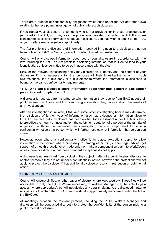There are a number of confidentiality obligations which arise under the Act and other laws relating to the receipt and investigation of public interest disclosures.

If you repeat your disclosure to someone who is not provided for in these procedures, or permitted in the Act, you may lose the protections provided for under the Act. If you are considering disclosing information about your disclosure, you may wish to speak to the PIDC or your welfare manager (where appointed).

The Act prohibits the disclosure of information received in relation to a disclosure that has been notified to IBAC by Council, except in certain limited circumstances.

Council will only disclose information about you or your disclosure in accordance with the law, including the Act. The Act prohibits disclosing information that is likely to lead to your identification, unless permitted to do so in accordance with the Act.

IBAC or the relevant investigating entity may disclose your identity and the content of your disclosure if it is necessary for the purposes of their investigative action. In such circumstances, the public body or public officer to whom the information is disclosed is bound by the same confidentiality requirements.

#### **16.1.1 Who can a discloser share information about their public interest disclosure / public interest complaint with?**

A discloser is restricted from sharing certain information they receive from IBAC about their public interest disclosure and from disclosing information they receive about the results of any investigation.

After an investigation is initiated, IBAC and some other investigating bodies may determine that disclosure of further types of information (such as evidence or information given to OBAC or the fact that a disclosure has been notified for assessment under the Act) is likely to prejudice the inquiry or investigation, the safety, or reputation of a person or the fair trial of a person. In those circumstances, an investigating body is empowered to issue a confidentiality notice on a person which will further restrict what information that person can share.

However, even where a confidentiality notice is in place, exceptions apply to allow information to be shared where necessary to, among other things, seek legal advice, get support of a health practitioner or trade union or make a compensation claim to WorkCover, unless there is a direction that those standard exceptions do not apply.

A discloser is not restricted from disclosing the subject matter of a public interest discloser to another person if they are not under a confidentiality notice, however, the protections will not apply to protect the discloser if that additional disclosure results in retribution or detrimental action.

# <span id="page-14-0"></span>17.INFORMATION MANAGEMENT

Council will ensure all files, whether paper of electronic, are kept securely. Those files will be accessible to only the PIDC. Where necessary, a Welfare Manager may be able to gain access (where appropriate), but will not divulge any details relating to the disclosed matter to any person other than the PIDC or an investigator appropriately authorised under the Act or the IBAC Act.

All meetings between the relevant persons, including the PIDC, Welfare Manager and disclosers will be conducted discreetly to protect the confidentiality of the person making a public interest disclosure.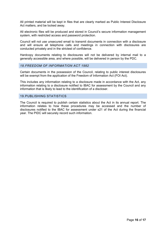All printed material will be kept in files that are clearly marked as Public Interest Disclosure Act matters, and be locked away.

All electronic files will be produced and stored in Council's secure information management system, with restricted access and password protection.

Council will not use unsecured email to transmit documents in connection with a disclosure and will ensure all telephone calls and meetings in connection with disclosures are conducted privately and in the strictest of confidence.

Hardcopy documents relating to disclosures will not be delivered by internal mail to a generally accessible area, and where possible, will be delivered in person by the PDC.

# <span id="page-15-0"></span>*18.FREEDOM OF INFORMATION ACT 1982*

Certain documents in the possession of the Council, relating to public interest disclosures will be exempt from the application of the Freedom of Information Act (FOI Act).

This includes any information relating to a disclosure made in accordance with the Act, any information relating to a disclosure notified to IBAC for assessment by the Council and any information that is likely to lead to the identification of a discloser.

#### <span id="page-15-1"></span>19.PUBLISHING STATISTICS

The Council is required to publish certain statistics about the Act in its annual report. The information relates to how these procedures may be accessed and the number of disclosures notified to the IBAC for assessment under s21 of the Act during the financial year. The PIDC will securely record such information.